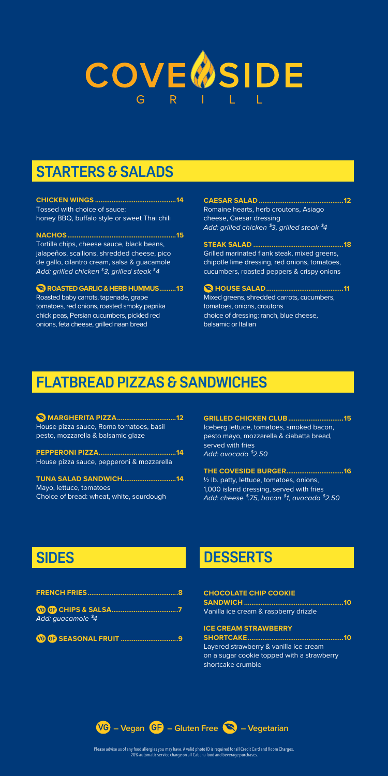# **COVE OSIDE**

## **STARTERS & SALADS**

**CHICKEN WINGS ............................................14** Tossed with choice of sauce: honey BBQ, buffalo style or sweet Thai chili

**NACHOS...........................................................15** Tortilla chips, cheese sauce, black beans, jalapeños, scallions, shredded cheese, pico de gallo, cilantro cream, salsa & guacamole *Add: grilled chicken \$3, grilled steak \$4*

 **ROASTED GARLIC & HERB HUMMUS.........13** Roasted baby carrots, tapenade, grape tomatoes, red onions, roasted smoky paprika chick peas, Persian cucumbers, pickled red onions, feta cheese, grilled naan bread

**CAESAR SALAD ..............................................12** Romaine hearts, herb croutons, Asiago cheese, Caesar dressing *Add: grilled chicken \$3, grilled steak \$4* 

**STEAK SALAD .................................................18** Grilled marinated flank steak, mixed greens, chipotle lime dressing, red onions, tomatoes, cucumbers, roasted peppers & crispy onions

**HOUSE SALAD..........................................11** Mixed greens, shredded carrots, cucumbers, tomatoes, onions, croutons choice of dressing: ranch, blue cheese, balsamic or Italian

## **FLATBREAD PIZZAS & SANDWICHES**

**MARGHERITA PIZZA................................12** House pizza sauce, Roma tomatoes, basil pesto, mozzarella & balsamic glaze

**PEPPERONI PIZZA..........................................14** House pizza sauce, pepperoni & mozzarella

**TUNA SALAD SANDWICH.............................14** Mayo, lettuce, tomatoes Choice of bread: wheat, white, sourdough

**GRILLED CHICKEN CLUB..............................15** Iceberg lettuce, tomatoes, smoked bacon, pesto mayo, mozzarella & ciabatta bread, served with fries *Add: avocado \$2.50* 

**THE COVESIDE BURGER...............................16** ½ lb. patty, lettuce, tomatoes, onions, 1,000 island dressing, served with fries *Add: cheese \$.75, bacon \$1, avocado \$2.50*

## **SIDES**

| Add: guacamole <sup>\$</sup> 4 |  |
|--------------------------------|--|

**SEASONAL FRUIT ...............................9**

## **DESSERTS**

**CHOCOLATE CHIP COOKIE SANDWICH ......................................................10** Vanilla ice cream & raspberry drizzle **ICE CREAM STRAWBERRY SHORTCAKE....................................................10** Layered strawberry & vanilla ice cream

on a sugar cookie topped with a strawberry shortcake crumble